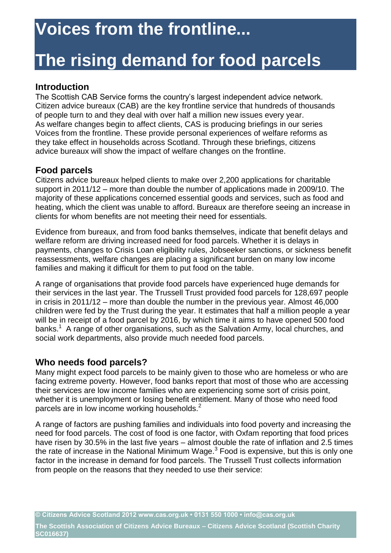# **The rising demand for food parcels**

### **Introduction**

The Scottish CAB Service forms the country's largest independent advice network. Citizen advice bureaux (CAB) are the key frontline service that hundreds of thousands of people turn to and they deal with over half a million new issues every year. As welfare changes begin to affect clients, CAS is producing briefings in our series Voices from the frontline. These provide personal experiences of welfare reforms as they take effect in households across Scotland. Through these briefings, citizens advice bureaux will show the impact of welfare changes on the frontline.

### **Food parcels**

Citizens advice bureaux helped clients to make over 2,200 applications for charitable support in 2011/12 – more than double the number of applications made in 2009/10. The majority of these applications concerned essential goods and services, such as food and heating, which the client was unable to afford. Bureaux are therefore seeing an increase in clients for whom benefits are not meeting their need for essentials.

Evidence from bureaux, and from food banks themselves, indicate that benefit delays and welfare reform are driving increased need for food parcels. Whether it is delays in payments, changes to Crisis Loan eligibility rules, Jobseeker sanctions, or sickness benefit reassessments, welfare changes are placing a significant burden on many low income families and making it difficult for them to put food on the table.

A range of organisations that provide food parcels have experienced huge demands for their services in the last year. The Trussell Trust provided food parcels for 128,697 people in crisis in 2011/12 – more than double the number in the previous year. Almost 46,000 children were fed by the Trust during the year. It estimates that half a million people a year will be in receipt of a food parcel by 2016, by which time it aims to have opened 500 food banks.<sup>1</sup> A range of other organisations, such as the Salvation Army, local churches, and social work departments, also provide much needed food parcels.

### **Who needs food parcels?**

Many might expect food parcels to be mainly given to those who are homeless or who are facing extreme poverty. However, food banks report that most of those who are accessing their services are low income families who are experiencing some sort of crisis point, whether it is unemployment or losing benefit entitlement. Many of those who need food parcels are in low income working households.<sup>2</sup>

A range of factors are pushing families and individuals into food poverty and increasing the need for food parcels. The cost of food is one factor, with Oxfam reporting that food prices have risen by 30.5% in the last five years – almost double the rate of inflation and 2.5 times the rate of increase in the National Minimum Wage. $3$  Food is expensive, but this is only one factor in the increase in demand for food parcels. The Trussell Trust collects information from people on the reasons that they needed to use their service:

**© Citizens Advice Scotland 2012 www.cas.org.uk • 0131 550 1000 • info@cas.org.uk** 

**The Scottish Association of Citizens Advice Bureaux – Citizens Advice Scotland (Scottish Charity SC016637)**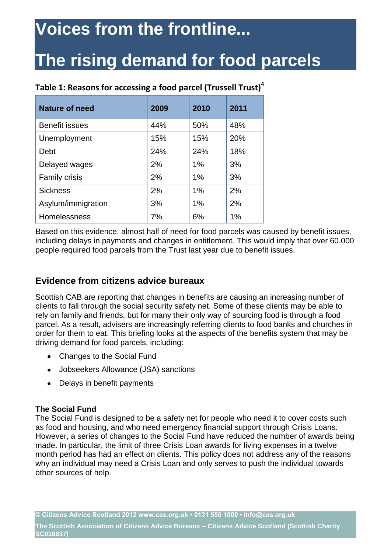# **The rising demand for food parcels**

| <b>Nature of need</b> | 2009 | 2010  | 2011 |
|-----------------------|------|-------|------|
| <b>Benefit issues</b> | 44%  | 50%   | 48%  |
| Unemployment          | 15%  | 15%   | 20%  |
| Debt                  | 24%  | 24%   | 18%  |
| Delayed wages         | 2%   | 1%    | 3%   |
| <b>Family crisis</b>  | 2%   | $1\%$ | 3%   |
| <b>Sickness</b>       | 2%   | 1%    | 2%   |
| Asylum/immigration    | 3%   | 1%    | 2%   |
| Homelessness          | 7%   | 6%    | 1%   |

### **Table 1: Reasons for accessing a food parcel (Trussell Trust)<sup>4</sup>**

Based on this evidence, almost half of need for food parcels was caused by benefit issues, including delays in payments and changes in entitlement. This would imply that over 60,000 people required food parcels from the Trust last year due to benefit issues.

## **Evidence from citizens advice bureaux**

Scottish CAB are reporting that changes in benefits are causing an increasing number of clients to fall through the social security safety net. Some of these clients may be able to rely on family and friends, but for many their only way of sourcing food is through a food parcel. As a result, advisers are increasingly referring clients to food banks and churches in order for them to eat. This briefing looks at the aspects of the benefits system that may be driving demand for food parcels, including:

- Changes to the Social Fund
- Jobseekers Allowance (JSA) sanctions
- Delays in benefit payments

#### **The Social Fund**

The Social Fund is designed to be a safety net for people who need it to cover costs such as food and housing, and who need emergency financial support through Crisis Loans. However, a series of changes to the Social Fund have reduced the number of awards being made. In particular, the limit of three Crisis Loan awards for living expenses in a twelve month period has had an effect on clients. This policy does not address any of the reasons why an individual may need a Crisis Loan and only serves to push the individual towards other sources of help.

**© Citizens Advice Scotland 2012 www.cas.org.uk • 0131 550 1000 • info@cas.org.uk** 

**The Scottish Association of Citizens Advice Bureaux – Citizens Advice Scotland (Scottish Charity SC016637)**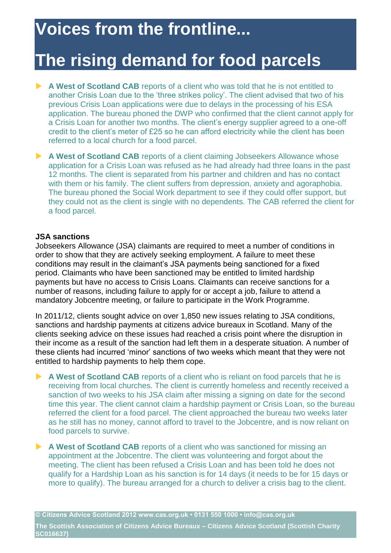## **The rising demand for food parcels**

- **A West of Scotland CAB** reports of a client who was told that he is not entitled to another Crisis Loan due to the 'three strikes policy'. The client advised that two of his previous Crisis Loan applications were due to delays in the processing of his ESA application. The bureau phoned the DWP who confirmed that the client cannot apply for a Crisis Loan for another two months. The client's energy supplier agreed to a one-off credit to the client's meter of £25 so he can afford electricity while the client has been referred to a local church for a food parcel.
- **A West of Scotland CAB** reports of a client claiming Jobseekers Allowance whose application for a Crisis Loan was refused as he had already had three loans in the past 12 months. The client is separated from his partner and children and has no contact with them or his family. The client suffers from depression, anxiety and agoraphobia. The bureau phoned the Social Work department to see if they could offer support, but they could not as the client is single with no dependents. The CAB referred the client for a food parcel.

#### **JSA sanctions**

Jobseekers Allowance (JSA) claimants are required to meet a number of conditions in order to show that they are actively seeking employment. A failure to meet these conditions may result in the claimant's JSA payments being sanctioned for a fixed period. Claimants who have been sanctioned may be entitled to limited hardship payments but have no access to Crisis Loans. Claimants can receive sanctions for a number of reasons, including failure to apply for or accept a job, failure to attend a mandatory Jobcentre meeting, or failure to participate in the Work Programme.

In 2011/12, clients sought advice on over 1,850 new issues relating to JSA conditions, sanctions and hardship payments at citizens advice bureaux in Scotland. Many of the clients seeking advice on these issues had reached a crisis point where the disruption in their income as a result of the sanction had left them in a desperate situation. A number of these clients had incurred 'minor' sanctions of two weeks which meant that they were not entitled to hardship payments to help them cope.

- **A West of Scotland CAB** reports of a client who is reliant on food parcels that he is receiving from local churches. The client is currently homeless and recently received a sanction of two weeks to his JSA claim after missing a signing on date for the second time this year. The client cannot claim a hardship payment or Crisis Loan, so the bureau referred the client for a food parcel. The client approached the bureau two weeks later as he still has no money, cannot afford to travel to the Jobcentre, and is now reliant on food parcels to survive.
- **A West of Scotland CAB** reports of a client who was sanctioned for missing an appointment at the Jobcentre. The client was volunteering and forgot about the meeting. The client has been refused a Crisis Loan and has been told he does not qualify for a Hardship Loan as his sanction is for 14 days (it needs to be for 15 days or more to qualify). The bureau arranged for a church to deliver a crisis bag to the client.

**The Scottish Association of Citizens Advice Bureaux – Citizens Advice Scotland (Scottish Charity SC016637)**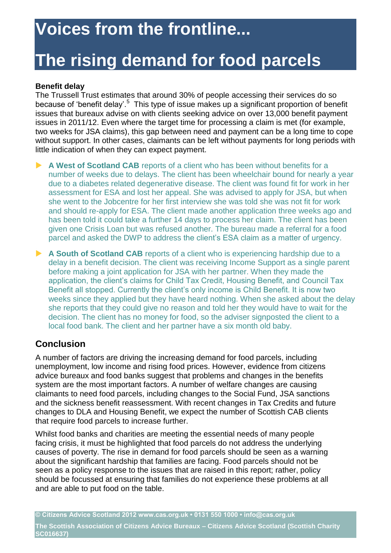# **The rising demand for food parcels**

#### **Benefit delay**

The Trussell Trust estimates that around 30% of people accessing their services do so because of 'benefit delay'.<sup>5</sup> This type of issue makes up a significant proportion of benefit issues that bureaux advise on with clients seeking advice on over 13,000 benefit payment issues in 2011/12. Even where the target time for processing a claim is met (for example, two weeks for JSA claims), this gap between need and payment can be a long time to cope without support. In other cases, claimants can be left without payments for long periods with little indication of when they can expect payment.

**A West of Scotland CAB** reports of a client who has been without benefits for a number of weeks due to delays. The client has been wheelchair bound for nearly a year due to a diabetes related degenerative disease. The client was found fit for work in her assessment for ESA and lost her appeal. She was advised to apply for JSA, but when she went to the Jobcentre for her first interview she was told she was not fit for work and should re-apply for ESA. The client made another application three weeks ago and has been told it could take a further 14 days to process her claim. The client has been given one Crisis Loan but was refused another. The bureau made a referral for a food parcel and asked the DWP to address the client's ESA claim as a matter of urgency.

A South of Scotland CAB reports of a client who is experiencing hardship due to a delay in a benefit decision. The client was receiving Income Support as a single parent before making a joint application for JSA with her partner. When they made the application, the client's claims for Child Tax Credit, Housing Benefit, and Council Tax Benefit all stopped. Currently the client's only income is Child Benefit. It is now two weeks since they applied but they have heard nothing. When she asked about the delay she reports that they could give no reason and told her they would have to wait for the decision. The client has no money for food, so the adviser signposted the client to a local food bank. The client and her partner have a six month old baby.

## **Conclusion**

A number of factors are driving the increasing demand for food parcels, including unemployment, low income and rising food prices. However, evidence from citizens advice bureaux and food banks suggest that problems and changes in the benefits system are the most important factors. A number of welfare changes are causing claimants to need food parcels, including changes to the Social Fund, JSA sanctions and the sickness benefit reassessment. With recent changes in Tax Credits and future changes to DLA and Housing Benefit, we expect the number of Scottish CAB clients that require food parcels to increase further.

Whilst food banks and charities are meeting the essential needs of many people facing crisis, it must be highlighted that food parcels do not address the underlying causes of poverty. The rise in demand for food parcels should be seen as a warning about the significant hardship that families are facing. Food parcels should not be seen as a policy response to the issues that are raised in this report; rather, policy should be focussed at ensuring that families do not experience these problems at all and are able to put food on the table.

**© Citizens Advice Scotland 2012 www.cas.org.uk • 0131 550 1000 • info@cas.org.uk The Scottish Association of Citizens Advice Bureaux – Citizens Advice Scotland (Scottish Charity** 

**SC016637)**